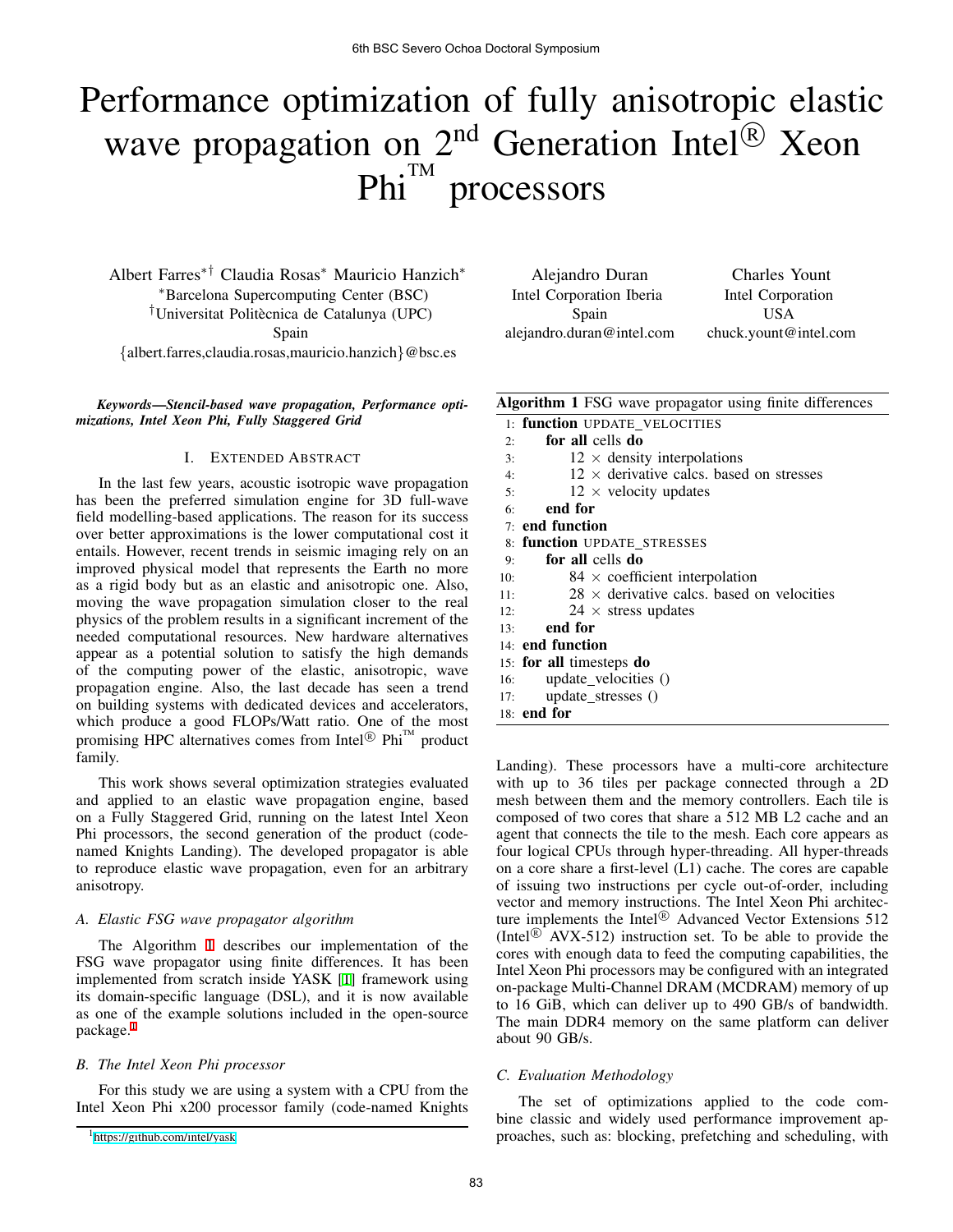# Performance optimization of fully anisotropic elastic wave propagation on 2<sup>nd</sup> Generation Intel<sup>®</sup> Xeon  $Phi^{\text{TM}}$ **processors**

Albert Farres*∗†* Claudia Rosas*∗* Mauricio Hanzich*∗ ∗*Barcelona Supercomputing Center (BSC) <sup>†</sup>Universitat Politècnica de Catalunya (UPC) Spain

*{*albert.farres,claudia.rosas,mauricio.hanzich*}*@bsc.es

*Keywords*—*Stencil-based wave propagation, Performance optimizations, Intel Xeon Phi, Fully Staggered Grid*

# I. EXTENDED ABSTRACT

In the last few years, acoustic isotropic wave propagation has been the preferred simulation engine for 3D full-wave field modelling-based applications. The reason for its success over better approximations is the lower computational cost it entails. However, recent trends in seismic imaging rely on an improved physical model that represents the Earth no more as a rigid body but as an elastic and anisotropic one. Also, moving the wave propagation simulation closer to the real physics of the problem results in a significant increment of the needed computational resources. New hardware alternatives appear as a potential solution to satisfy the high demands of the computing power of the elastic, anisotropic, wave propagation engine. Also, the last decade has seen a trend on building systems with dedicated devices and accelerators, which produce a good FLOPs/Watt ratio. One of the most promising HPC alternatives comes from Intel<sup>®</sup> Phi<sup>™</sup> product family.

This work shows several optimization strategies evaluated and applied to an elastic wave propagation engine, based on a Fully Staggered Grid, running on the latest Intel Xeon Phi processors, the second generation of the product (codenamed Knights Landing). The developed propagator is able to reproduce elastic wave propagation, even for an arbitrary anisotropy.

## *A. Elastic FSG wave propagator algorithm*

The Algorithm 1 describes our implementation of the FSG wave propagator using finite differences. It has been implemented from scratch inside YASK [1] framework using its domain-specific language (DSL), and it is now available as one of the example solutions included in the open-source package.<sup>1</sup>

### *B. The Intel Xeon Phi processor*

For this study we are using a system with a CPU from the Intel Xeon Phi x200 processor family (code-named Knights

Alejandro Duran Intel Corporation Iberia Spain alejandro.duran@intel.com

Charles Yount Intel Corporation USA chuck.yount@intel.com

| Algorithm 1 FSG wave propagator using finite differences |  |  |  |  |
|----------------------------------------------------------|--|--|--|--|
|                                                          |  |  |  |  |

| o   |                                                   |
|-----|---------------------------------------------------|
|     | 1: function UPDATE VELOCITIES                     |
| 2:  | for all cells do                                  |
| 3:  | $12 \times$ density interpolations                |
| 4:  | $12 \times$ derivative calcs, based on stresses   |
| 5:  | $12 \times$ velocity updates                      |
| 6:  | end for                                           |
|     | $7:$ end function                                 |
|     | 8: function UPDATE STRESSES                       |
| 9:  | for all cells do                                  |
| 10: | $84 \times$ coefficient interpolation             |
| 11: | $28 \times$ derivative calcs, based on velocities |
| 12: | $24 \times$ stress updates                        |
| 13: | end for                                           |
|     | 14: <b>end function</b>                           |
|     | 15: for all timesteps do                          |
| 16: | update velocities ()                              |
| 17: | $update_{stress}()$                               |
|     | 18: end for                                       |
|     |                                                   |

Landing). These processors have a multi-core architecture with up to 36 tiles per package connected through a 2D mesh between them and the memory controllers. Each tile is composed of two cores that share a 512 MB L2 cache and an agent that connects the tile to the mesh. Each core appears as four logical CPUs through hyper-threading. All hyper-threads on a core share a first-level (L1) cache. The cores are capable of issuing two instructions per cycle out-of-order, including vector and memory instructions. The Intel Xeon Phi architecture implements the Intel<sup>®</sup> Advanced Vector Extensions 512 (Intel<sup> $\circledR$ </sup> AVX-512) instruction set. To be able to provide the cores with enough data to feed the computing capabilities, the Intel Xeon Phi processors may be configured with an integrated on-package Multi-Channel DRAM (MCDRAM) memory of up to 16 GiB, which can deliver up to 490 GB/s of bandwidth. The main DDR4 memory on the same platform can deliver about 90 GB/s.

# *C. Evaluation Methodology*

The set of optimizations applied to the code combine classic and widely used performance improvement approaches, such as: blocking, prefetching and scheduling, with

<sup>1</sup><https://github.com/intel/yask>